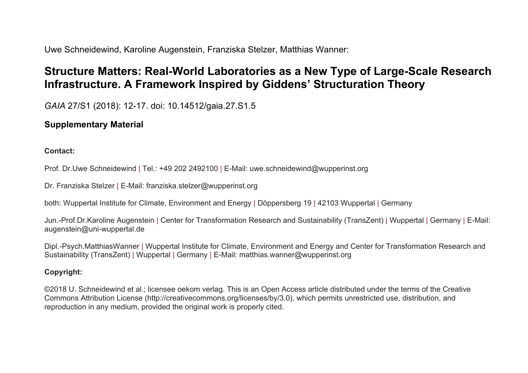Uwe Schneidewind, Karoline Augenstein, Franziska Stelzer, Matthias Wanner:

# **Structure Matters: Real-World Laboratories as a New Type of Large-Scale Research Infrastructure. A Framework Inspired by Giddens' Structuration Theory**

*GAIA* 27/S1 (2018): 12-17. doi: 10.14512/gaia.27.S1.5

## **Supplementary Material**

#### **Contact:**

Prof. Dr.Uwe Schneidewind | Tel.: +49 202 2492100 | E-Mail: uwe.schneidewind@wupperinst.org

Dr. Franziska Stelzer | E-Mail: franziska.stelzer@wupperinst.org

both: Wuppertal Institute for Climate, Environment and Energy | Döppersberg 19 | 42103 Wuppertal | Germany

Jun.-Prof.Dr.Karoline Augenstein | Center for Transformation Research and Sustainability (TransZent) | Wuppertal | Germany | E-Mail: augenstein@uni-wuppertal.de

Dipl.-Psych.MatthiasWanner | Wuppertal Institute for Climate, Environment and Energy and Center for Transformation Research and Sustainability (TransZent) | Wuppertal | Germany | E-Mail: matthias.wanner@wupperinst.org

### **Copyright:**

©2018 U. Schneidewind et al.; licensee oekom verlag. This is an Open Access article distributed under the terms of the Creative Commons Attribution License (http://creativecommons.org/licenses/by/3.0), which permits unrestricted use, distribution, and reproduction in any medium, provided the original work is properly cited.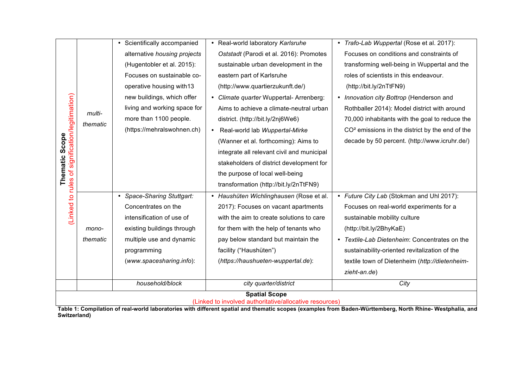|                                                                                                                                                                           |                    | • Scientifically accompanied | • Real-world laboratory Karlsruhe          | • Trafo-Lab Wuppertal (Rose et al. 2017):                   |
|---------------------------------------------------------------------------------------------------------------------------------------------------------------------------|--------------------|------------------------------|--------------------------------------------|-------------------------------------------------------------|
| of signification/legitimation)<br>Scope<br>Thematic<br>(Linked to rules                                                                                                   | multi-<br>thematic | alternative housing projects | Oststadt (Parodi et al. 2016): Promotes    | Focuses on conditions and constraints of                    |
|                                                                                                                                                                           |                    |                              |                                            |                                                             |
|                                                                                                                                                                           |                    | (Hugentobler et al. 2015):   | sustainable urban development in the       | transforming well-being in Wuppertal and the                |
|                                                                                                                                                                           |                    | Focuses on sustainable co-   | eastern part of Karlsruhe                  | roles of scientists in this endeavour.                      |
|                                                                                                                                                                           |                    | operative housing with13     | (http://www.quartierzukunft.de/)           | (http://bit.ly/2nTtFN9)                                     |
|                                                                                                                                                                           |                    | new buildings, which offer   | Climate quarter Wuppertal-Arrenberg:       | • Innovation city Bottrop (Henderson and                    |
|                                                                                                                                                                           |                    | living and working space for | Aims to achieve a climate-neutral urban    | Rothballer 2014): Model district with around                |
|                                                                                                                                                                           |                    | more than 1100 people.       | district. (http://bit.ly/2nj6We6)          | 70,000 inhabitants with the goal to reduce the              |
|                                                                                                                                                                           |                    | (https://mehralswohnen.ch)   | Real-world lab Wuppertal-Mirke             | CO <sup>2</sup> emissions in the district by the end of the |
|                                                                                                                                                                           |                    |                              | (Wanner et al. forthcoming): Aims to       | decade by 50 percent. (http://www.icruhr.de/)               |
|                                                                                                                                                                           |                    |                              | integrate all relevant civil and municipal |                                                             |
|                                                                                                                                                                           |                    |                              | stakeholders of district development for   |                                                             |
|                                                                                                                                                                           |                    |                              | the purpose of local well-being            |                                                             |
|                                                                                                                                                                           |                    |                              | transformation (http://bit.ly/2nTtFN9)     |                                                             |
|                                                                                                                                                                           |                    | • Space-Sharing Stuttgart:   | Haushüten Wichlinghausen (Rose et al.      | • Future City Lab (Stokman and Uhl 2017):                   |
|                                                                                                                                                                           |                    | Concentrates on the          | 2017): Focuses on vacant apartments        | Focuses on real-world experiments for a                     |
|                                                                                                                                                                           |                    | intensification of use of    | with the aim to create solutions to care   | sustainable mobility culture                                |
|                                                                                                                                                                           | mono-              | existing buildings through   | for them with the help of tenants who      | (http://bit.ly/2BhyKaE)                                     |
|                                                                                                                                                                           | thematic           | multiple use and dynamic     | pay below standard but maintain the        | • Textile-Lab Dietenheim: Concentrates on the               |
|                                                                                                                                                                           |                    | programming                  | facility ("Haushüten")                     | sustainability-oriented revitalization of the               |
|                                                                                                                                                                           |                    | (www.spacesharing.info):     | (https://haushueten-wuppertal.de):         | textile town of Dietenheim (http://dietenheim-              |
|                                                                                                                                                                           |                    |                              |                                            | zieht-an.de)                                                |
|                                                                                                                                                                           |                    | household/block              | city quarter/district                      | City                                                        |
| <b>Spatial Scope</b>                                                                                                                                                      |                    |                              |                                            |                                                             |
| (Linked to involved authoritative/allocative resources)                                                                                                                   |                    |                              |                                            |                                                             |
| Table 1: Compilation of real-world laboratories with different spatial and thematic scopes (examples from Baden-Württemberg, North Rhine- Westphalia, and<br>Switzerland) |                    |                              |                                            |                                                             |

**Table 1: Compilation of real-world laboratories with different spatial and thematic scopes (examples from Baden-Württemberg, North Rhine- Westphalia, and**